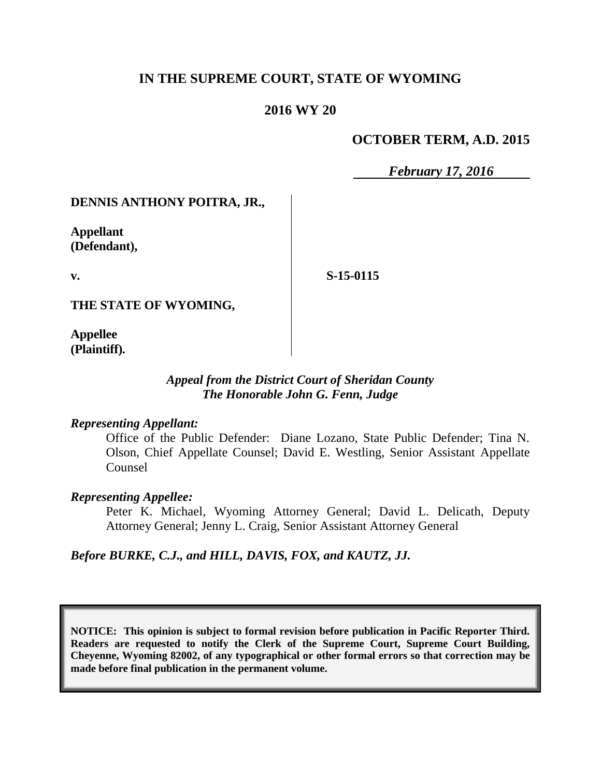# **IN THE SUPREME COURT, STATE OF WYOMING**

## **2016 WY 20**

## **OCTOBER TERM, A.D. 2015**

*February 17, 2016*

## **DENNIS ANTHONY POITRA, JR.,**

**Appellant (Defendant),**

**v.**

**S-15-0115**

**THE STATE OF WYOMING,**

**Appellee (Plaintiff).**

## *Appeal from the District Court of Sheridan County The Honorable John G. Fenn, Judge*

### *Representing Appellant:*

Office of the Public Defender: Diane Lozano, State Public Defender; Tina N. Olson, Chief Appellate Counsel; David E. Westling, Senior Assistant Appellate Counsel

### *Representing Appellee:*

Peter K. Michael, Wyoming Attorney General; David L. Delicath, Deputy Attorney General; Jenny L. Craig, Senior Assistant Attorney General

*Before BURKE, C.J., and HILL, DAVIS, FOX, and KAUTZ, JJ.*

**NOTICE: This opinion is subject to formal revision before publication in Pacific Reporter Third. Readers are requested to notify the Clerk of the Supreme Court, Supreme Court Building, Cheyenne, Wyoming 82002, of any typographical or other formal errors so that correction may be made before final publication in the permanent volume.**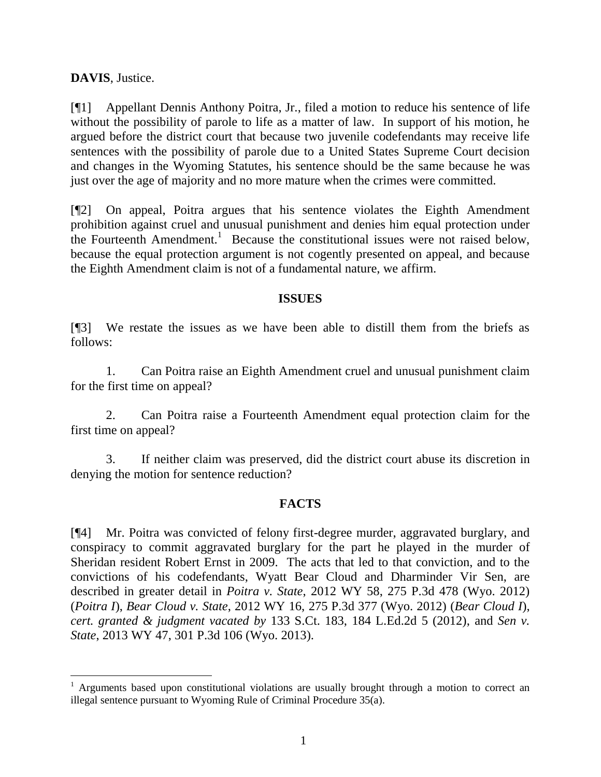**DAVIS**, Justice.

l

[¶1] Appellant Dennis Anthony Poitra, Jr., filed a motion to reduce his sentence of life without the possibility of parole to life as a matter of law. In support of his motion, he argued before the district court that because two juvenile codefendants may receive life sentences with the possibility of parole due to a United States Supreme Court decision and changes in the Wyoming Statutes, his sentence should be the same because he was just over the age of majority and no more mature when the crimes were committed.

[¶2] On appeal, Poitra argues that his sentence violates the Eighth Amendment prohibition against cruel and unusual punishment and denies him equal protection under the Fourteenth Amendment. 1 Because the constitutional issues were not raised below, because the equal protection argument is not cogently presented on appeal, and because the Eighth Amendment claim is not of a fundamental nature, we affirm.

## **ISSUES**

[¶3] We restate the issues as we have been able to distill them from the briefs as follows:

1. Can Poitra raise an Eighth Amendment cruel and unusual punishment claim for the first time on appeal?

2. Can Poitra raise a Fourteenth Amendment equal protection claim for the first time on appeal?

3. If neither claim was preserved, did the district court abuse its discretion in denying the motion for sentence reduction?

## **FACTS**

[¶4] Mr. Poitra was convicted of felony first-degree murder, aggravated burglary, and conspiracy to commit aggravated burglary for the part he played in the murder of Sheridan resident Robert Ernst in 2009. The acts that led to that conviction, and to the convictions of his codefendants, Wyatt Bear Cloud and Dharminder Vir Sen, are described in greater detail in *Poitra v. State*, 2012 WY 58, 275 P.3d 478 (Wyo. 2012) (*Poitra I*), *Bear Cloud v. State*, 2012 WY 16, 275 P.3d 377 (Wyo. 2012) (*Bear Cloud I*), *cert. granted & judgment vacated by* 133 S.Ct. 183, 184 L.Ed.2d 5 (2012), and *Sen v. State*, 2013 WY 47, 301 P.3d 106 (Wyo. 2013).

<sup>&</sup>lt;sup>1</sup> Arguments based upon constitutional violations are usually brought through a motion to correct an illegal sentence pursuant to Wyoming Rule of Criminal Procedure 35(a).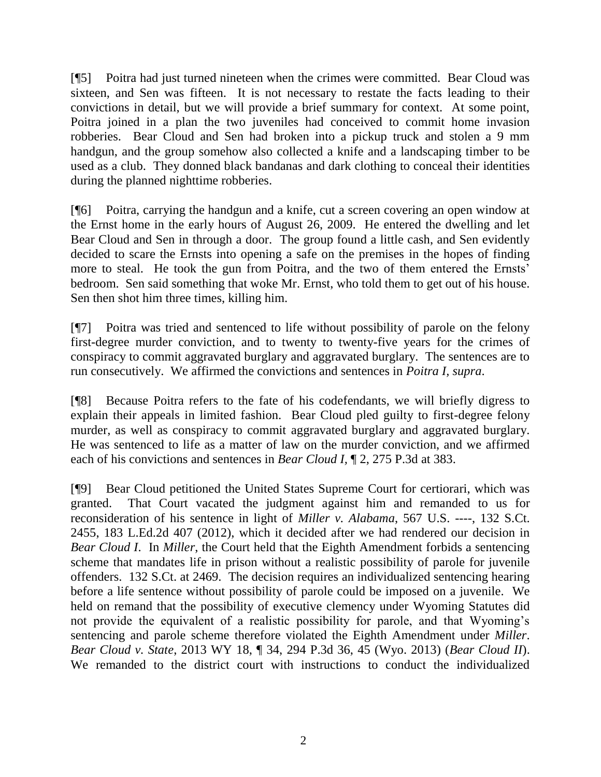[¶5] Poitra had just turned nineteen when the crimes were committed. Bear Cloud was sixteen, and Sen was fifteen. It is not necessary to restate the facts leading to their convictions in detail, but we will provide a brief summary for context. At some point, Poitra joined in a plan the two juveniles had conceived to commit home invasion robberies. Bear Cloud and Sen had broken into a pickup truck and stolen a 9 mm handgun, and the group somehow also collected a knife and a landscaping timber to be used as a club. They donned black bandanas and dark clothing to conceal their identities during the planned nighttime robberies.

[¶6] Poitra, carrying the handgun and a knife, cut a screen covering an open window at the Ernst home in the early hours of August 26, 2009. He entered the dwelling and let Bear Cloud and Sen in through a door. The group found a little cash, and Sen evidently decided to scare the Ernsts into opening a safe on the premises in the hopes of finding more to steal. He took the gun from Poitra, and the two of them entered the Ernsts' bedroom. Sen said something that woke Mr. Ernst, who told them to get out of his house. Sen then shot him three times, killing him.

[¶7] Poitra was tried and sentenced to life without possibility of parole on the felony first-degree murder conviction, and to twenty to twenty-five years for the crimes of conspiracy to commit aggravated burglary and aggravated burglary. The sentences are to run consecutively. We affirmed the convictions and sentences in *Poitra I, supra*.

[¶8] Because Poitra refers to the fate of his codefendants, we will briefly digress to explain their appeals in limited fashion. Bear Cloud pled guilty to first-degree felony murder, as well as conspiracy to commit aggravated burglary and aggravated burglary. He was sentenced to life as a matter of law on the murder conviction, and we affirmed each of his convictions and sentences in *Bear Cloud I,* ¶ 2, 275 P.3d at 383.

[¶9] Bear Cloud petitioned the United States Supreme Court for certiorari, which was granted. That Court vacated the judgment against him and remanded to us for reconsideration of his sentence in light of *Miller v. Alabama*, 567 U.S. ----, 132 S.Ct. 2455, 183 L.Ed.2d 407 (2012), which it decided after we had rendered our decision in *Bear Cloud I*. In *Miller*, the Court held that the Eighth Amendment forbids a sentencing scheme that mandates life in prison without a realistic possibility of parole for juvenile offenders. 132 S.Ct. at 2469. The decision requires an individualized sentencing hearing before a life sentence without possibility of parole could be imposed on a juvenile. We held on remand that the possibility of executive clemency under Wyoming Statutes did not provide the equivalent of a realistic possibility for parole, and that Wyoming's sentencing and parole scheme therefore violated the Eighth Amendment under *Miller*. *Bear Cloud v. State*, 2013 WY 18, ¶ 34, 294 P.3d 36, 45 (Wyo. 2013) (*Bear Cloud II*). We remanded to the district court with instructions to conduct the individualized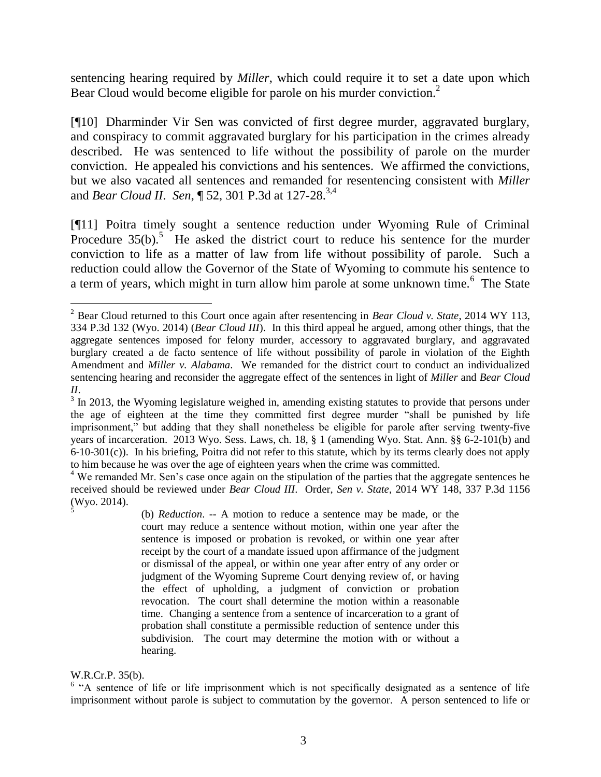sentencing hearing required by *Miller*, which could require it to set a date upon which Bear Cloud would become eligible for parole on his murder conviction.<sup>2</sup>

[¶10] Dharminder Vir Sen was convicted of first degree murder, aggravated burglary, and conspiracy to commit aggravated burglary for his participation in the crimes already described. He was sentenced to life without the possibility of parole on the murder conviction. He appealed his convictions and his sentences. We affirmed the convictions, but we also vacated all sentences and remanded for resentencing consistent with *Miller* and *Bear Cloud II*. *Sen*, ¶ 52, 301 P.3d at 127-28. 3,4

[¶11] Poitra timely sought a sentence reduction under Wyoming Rule of Criminal Procedure  $35(b)$ .<sup>5</sup> He asked the district court to reduce his sentence for the murder conviction to life as a matter of law from life without possibility of parole. Such a reduction could allow the Governor of the State of Wyoming to commute his sentence to a term of years, which might in turn allow him parole at some unknown time.<sup>6</sup> The State

(b) *Reduction*. -- A motion to reduce a sentence may be made, or the court may reduce a sentence without motion, within one year after the sentence is imposed or probation is revoked, or within one year after receipt by the court of a mandate issued upon affirmance of the judgment or dismissal of the appeal, or within one year after entry of any order or judgment of the Wyoming Supreme Court denying review of, or having the effect of upholding, a judgment of conviction or probation revocation. The court shall determine the motion within a reasonable time. Changing a sentence from a sentence of incarceration to a grant of probation shall constitute a permissible reduction of sentence under this subdivision. The court may determine the motion with or without a hearing.

#### W.R.Cr.P. 35(b).

<sup>6</sup> "A sentence of life or life imprisonment which is not specifically designated as a sentence of life imprisonment without parole is subject to commutation by the governor. A person sentenced to life or

l <sup>2</sup> Bear Cloud returned to this Court once again after resentencing in *Bear Cloud v. State*, 2014 WY 113, 334 P.3d 132 (Wyo. 2014) (*Bear Cloud III*). In this third appeal he argued, among other things, that the aggregate sentences imposed for felony murder, accessory to aggravated burglary, and aggravated burglary created a de facto sentence of life without possibility of parole in violation of the Eighth Amendment and *Miller v. Alabama*. We remanded for the district court to conduct an individualized sentencing hearing and reconsider the aggregate effect of the sentences in light of *Miller* and *Bear Cloud II*.

<sup>&</sup>lt;sup>3</sup> In 2013, the Wyoming legislature weighed in, amending existing statutes to provide that persons under the age of eighteen at the time they committed first degree murder "shall be punished by life imprisonment," but adding that they shall nonetheless be eligible for parole after serving twenty-five years of incarceration. 2013 Wyo. Sess. Laws, ch. 18, § 1 (amending Wyo. Stat. Ann. §§ 6-2-101(b) and 6-10-301(c)). In his briefing, Poitra did not refer to this statute, which by its terms clearly does not apply to him because he was over the age of eighteen years when the crime was committed.

<sup>&</sup>lt;sup>4</sup> We remanded Mr. Sen's case once again on the stipulation of the parties that the aggregate sentences he received should be reviewed under *Bear Cloud III*. Order, *Sen v. State*, 2014 WY 148, 337 P.3d 1156 (Wyo. 2014). 5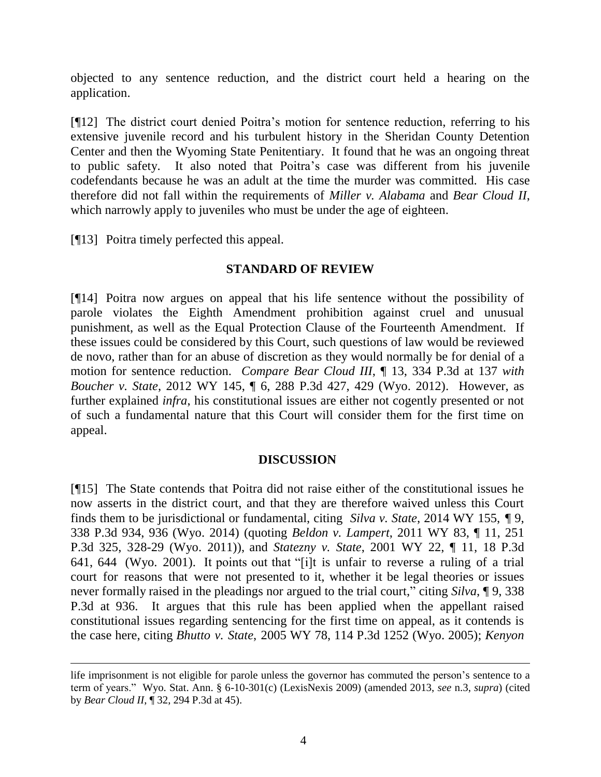objected to any sentence reduction, and the district court held a hearing on the application.

[¶12] The district court denied Poitra's motion for sentence reduction, referring to his extensive juvenile record and his turbulent history in the Sheridan County Detention Center and then the Wyoming State Penitentiary. It found that he was an ongoing threat to public safety. It also noted that Poitra's case was different from his juvenile codefendants because he was an adult at the time the murder was committed. His case therefore did not fall within the requirements of *Miller v. Alabama* and *Bear Cloud II*, which narrowly apply to juveniles who must be under the age of eighteen.

[¶13] Poitra timely perfected this appeal.

## **STANDARD OF REVIEW**

[¶14] Poitra now argues on appeal that his life sentence without the possibility of parole violates the Eighth Amendment prohibition against cruel and unusual punishment, as well as the Equal Protection Clause of the Fourteenth Amendment. If these issues could be considered by this Court, such questions of law would be reviewed de novo, rather than for an abuse of discretion as they would normally be for denial of a motion for sentence reduction. *Compare Bear Cloud III*, ¶ 13, 334 P.3d at 137 *with Boucher v. State*, 2012 WY 145, ¶ 6, 288 P.3d 427, 429 (Wyo. 2012). However, as further explained *infra*, his constitutional issues are either not cogently presented or not of such a fundamental nature that this Court will consider them for the first time on appeal.

## **DISCUSSION**

[¶15] The State contends that Poitra did not raise either of the constitutional issues he now asserts in the district court, and that they are therefore waived unless this Court finds them to be jurisdictional or fundamental, citing *Silva v. State*, 2014 WY 155, ¶ 9, 338 P.3d 934, 936 (Wyo. 2014) (quoting *Beldon v. Lampert*, 2011 WY 83, ¶ 11, 251 P.3d 325, 328-29 (Wyo. 2011)), and *Statezny v. State*, 2001 WY 22, ¶ 11, 18 P.3d 641, 644 (Wyo. 2001). It points out that "[i]t is unfair to reverse a ruling of a trial court for reasons that were not presented to it, whether it be legal theories or issues never formally raised in the pleadings nor argued to the trial court," citing *Silva*, ¶ 9, 338 P.3d at 936. It argues that this rule has been applied when the appellant raised constitutional issues regarding sentencing for the first time on appeal, as it contends is the case here, citing *Bhutto v. State*, 2005 WY 78, 114 P.3d 1252 (Wyo. 2005); *Kenyon* 

life imprisonment is not eligible for parole unless the governor has commuted the person's sentence to a term of years." Wyo. Stat. Ann. § 6-10-301(c) (LexisNexis 2009) (amended 2013, *see* n.3, *supra*) (cited by *Bear Cloud II*, ¶ 32, 294 P.3d at 45).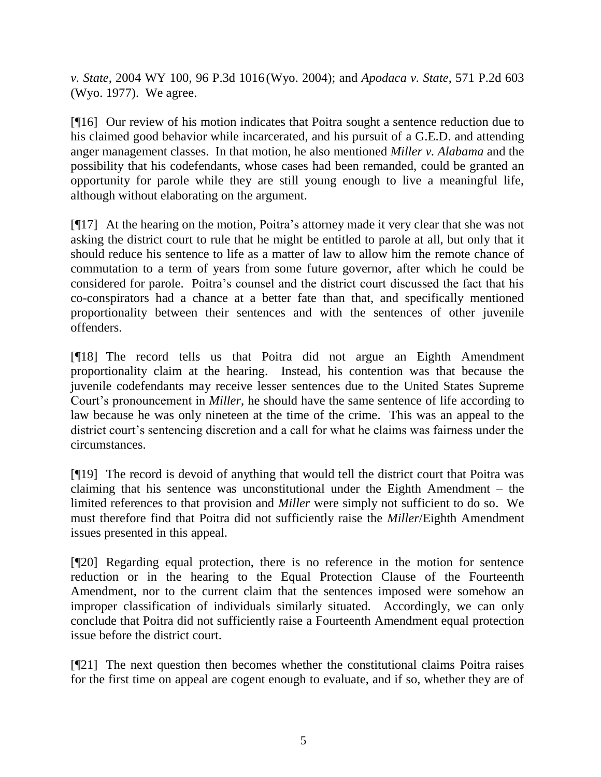*v. State*, 2004 WY 100, 96 P.3d 1016 (Wyo. 2004); and *Apodaca v. State*, 571 P.2d 603 (Wyo. 1977). We agree.

[¶16] Our review of his motion indicates that Poitra sought a sentence reduction due to his claimed good behavior while incarcerated, and his pursuit of a G.E.D. and attending anger management classes. In that motion, he also mentioned *Miller v. Alabama* and the possibility that his codefendants, whose cases had been remanded, could be granted an opportunity for parole while they are still young enough to live a meaningful life, although without elaborating on the argument.

[¶17] At the hearing on the motion, Poitra's attorney made it very clear that she was not asking the district court to rule that he might be entitled to parole at all, but only that it should reduce his sentence to life as a matter of law to allow him the remote chance of commutation to a term of years from some future governor, after which he could be considered for parole. Poitra's counsel and the district court discussed the fact that his co-conspirators had a chance at a better fate than that, and specifically mentioned proportionality between their sentences and with the sentences of other juvenile offenders.

[¶18] The record tells us that Poitra did not argue an Eighth Amendment proportionality claim at the hearing. Instead, his contention was that because the juvenile codefendants may receive lesser sentences due to the United States Supreme Court's pronouncement in *Miller*, he should have the same sentence of life according to law because he was only nineteen at the time of the crime. This was an appeal to the district court's sentencing discretion and a call for what he claims was fairness under the circumstances.

[¶19] The record is devoid of anything that would tell the district court that Poitra was claiming that his sentence was unconstitutional under the Eighth Amendment – the limited references to that provision and *Miller* were simply not sufficient to do so. We must therefore find that Poitra did not sufficiently raise the *Miller*/Eighth Amendment issues presented in this appeal.

[¶20] Regarding equal protection, there is no reference in the motion for sentence reduction or in the hearing to the Equal Protection Clause of the Fourteenth Amendment, nor to the current claim that the sentences imposed were somehow an improper classification of individuals similarly situated. Accordingly, we can only conclude that Poitra did not sufficiently raise a Fourteenth Amendment equal protection issue before the district court.

[¶21] The next question then becomes whether the constitutional claims Poitra raises for the first time on appeal are cogent enough to evaluate, and if so, whether they are of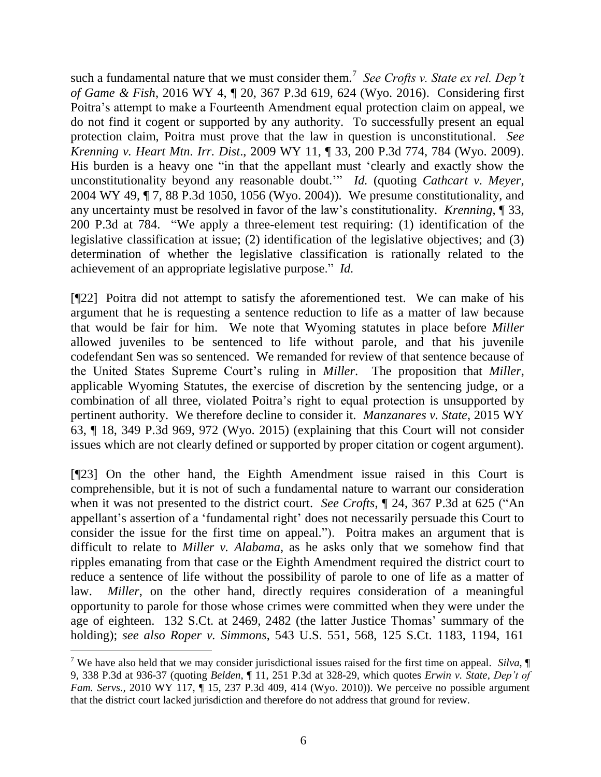such a fundamental nature that we must consider them.<sup>7</sup> See Crofts v. State ex rel. Dep't *of Game & Fish*, 2016 WY 4, ¶ 20, 367 P.3d 619, 624 (Wyo. 2016). Considering first Poitra's attempt to make a Fourteenth Amendment equal protection claim on appeal, we do not find it cogent or supported by any authority. To successfully present an equal protection claim, Poitra must prove that the law in question is unconstitutional. *See Krenning v. Heart Mtn. Irr. Dist*., 2009 WY 11, ¶ 33, 200 P.3d 774, 784 (Wyo. 2009). His burden is a heavy one "in that the appellant must 'clearly and exactly show the unconstitutionality beyond any reasonable doubt.'" *Id.* (quoting *Cathcart v. Meyer*, 2004 WY 49, ¶ 7, 88 P.3d 1050, 1056 (Wyo. 2004)). We presume constitutionality, and any uncertainty must be resolved in favor of the law's constitutionality. *Krenning*, ¶ 33, 200 P.3d at 784. "We apply a three-element test requiring: (1) identification of the legislative classification at issue; (2) identification of the legislative objectives; and (3) determination of whether the legislative classification is rationally related to the achievement of an appropriate legislative purpose." *Id.*

[¶22] Poitra did not attempt to satisfy the aforementioned test. We can make of his argument that he is requesting a sentence reduction to life as a matter of law because that would be fair for him. We note that Wyoming statutes in place before *Miller*  allowed juveniles to be sentenced to life without parole, and that his juvenile codefendant Sen was so sentenced. We remanded for review of that sentence because of the United States Supreme Court's ruling in *Miller*. The proposition that *Miller*, applicable Wyoming Statutes, the exercise of discretion by the sentencing judge, or a combination of all three, violated Poitra's right to equal protection is unsupported by pertinent authority. We therefore decline to consider it. *Manzanares v. State*, 2015 WY 63, ¶ 18, 349 P.3d 969, 972 (Wyo. 2015) (explaining that this Court will not consider issues which are not clearly defined or supported by proper citation or cogent argument).

[¶23] On the other hand, the Eighth Amendment issue raised in this Court is comprehensible, but it is not of such a fundamental nature to warrant our consideration when it was not presented to the district court. *See Crofts*, ¶ 24, 367 P.3d at 625 ("An appellant's assertion of a 'fundamental right' does not necessarily persuade this Court to consider the issue for the first time on appeal."). Poitra makes an argument that is difficult to relate to *Miller v. Alabama*, as he asks only that we somehow find that ripples emanating from that case or the Eighth Amendment required the district court to reduce a sentence of life without the possibility of parole to one of life as a matter of law. *Miller*, on the other hand, directly requires consideration of a meaningful opportunity to parole for those whose crimes were committed when they were under the age of eighteen. 132 S.Ct. at 2469, 2482 (the latter Justice Thomas' summary of the holding); *see also Roper v. Simmons*, 543 U.S. 551, 568, 125 S.Ct. 1183, 1194, 161

<sup>7</sup> We have also held that we may consider jurisdictional issues raised for the first time on appeal. *Silva*, ¶ 9, 338 P.3d at 936-37 (quoting *Belden*, ¶ 11, 251 P.3d at 328-29, which quotes *Erwin v. State*, *Dep't of Fam. Servs.*, 2010 WY 117,  $\P$  15, 237 P.3d 409, 414 (Wyo. 2010)). We perceive no possible argument that the district court lacked jurisdiction and therefore do not address that ground for review.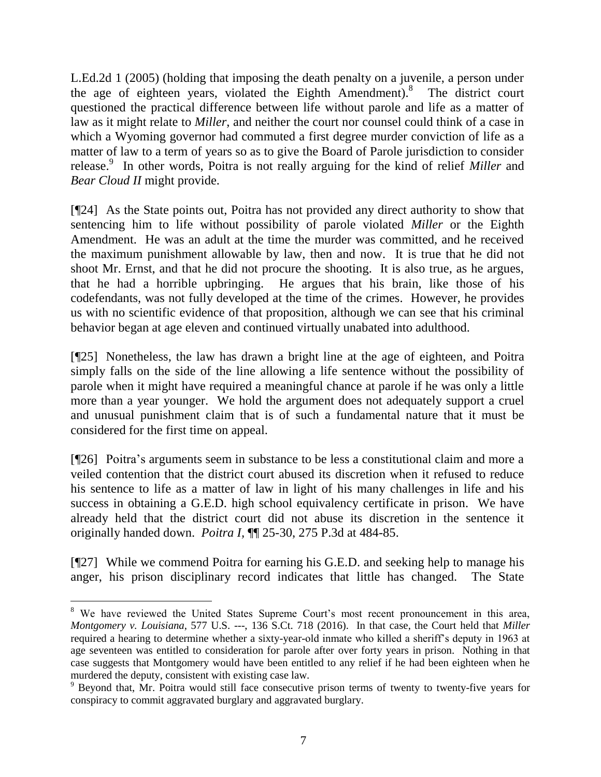L.Ed.2d 1 (2005) (holding that imposing the death penalty on a juvenile, a person under the age of eighteen years, violated the Eighth Amendment). 8 The district court questioned the practical difference between life without parole and life as a matter of law as it might relate to *Miller*, and neither the court nor counsel could think of a case in which a Wyoming governor had commuted a first degree murder conviction of life as a matter of law to a term of years so as to give the Board of Parole jurisdiction to consider release.<sup>9</sup> In other words, Poitra is not really arguing for the kind of relief *Miller* and *Bear Cloud II* might provide.

[¶24] As the State points out, Poitra has not provided any direct authority to show that sentencing him to life without possibility of parole violated *Miller* or the Eighth Amendment. He was an adult at the time the murder was committed, and he received the maximum punishment allowable by law, then and now. It is true that he did not shoot Mr. Ernst, and that he did not procure the shooting. It is also true, as he argues, that he had a horrible upbringing. He argues that his brain, like those of his codefendants, was not fully developed at the time of the crimes. However, he provides us with no scientific evidence of that proposition, although we can see that his criminal behavior began at age eleven and continued virtually unabated into adulthood.

[¶25] Nonetheless, the law has drawn a bright line at the age of eighteen, and Poitra simply falls on the side of the line allowing a life sentence without the possibility of parole when it might have required a meaningful chance at parole if he was only a little more than a year younger. We hold the argument does not adequately support a cruel and unusual punishment claim that is of such a fundamental nature that it must be considered for the first time on appeal.

[¶26] Poitra's arguments seem in substance to be less a constitutional claim and more a veiled contention that the district court abused its discretion when it refused to reduce his sentence to life as a matter of law in light of his many challenges in life and his success in obtaining a G.E.D. high school equivalency certificate in prison. We have already held that the district court did not abuse its discretion in the sentence it originally handed down. *Poitra I,* ¶¶ 25-30, 275 P.3d at 484-85.

[¶27] While we commend Poitra for earning his G.E.D. and seeking help to manage his anger, his prison disciplinary record indicates that little has changed. The State

<sup>&</sup>lt;sup>8</sup> We have reviewed the United States Supreme Court's most recent pronouncement in this area, *Montgomery v. Louisiana*, 577 U.S. ---, 136 S.Ct. 718 (2016). In that case, the Court held that *Miller* required a hearing to determine whether a sixty-year-old inmate who killed a sheriff's deputy in 1963 at age seventeen was entitled to consideration for parole after over forty years in prison. Nothing in that case suggests that Montgomery would have been entitled to any relief if he had been eighteen when he murdered the deputy, consistent with existing case law.

<sup>&</sup>lt;sup>9</sup> Beyond that, Mr. Poitra would still face consecutive prison terms of twenty to twenty-five years for conspiracy to commit aggravated burglary and aggravated burglary.